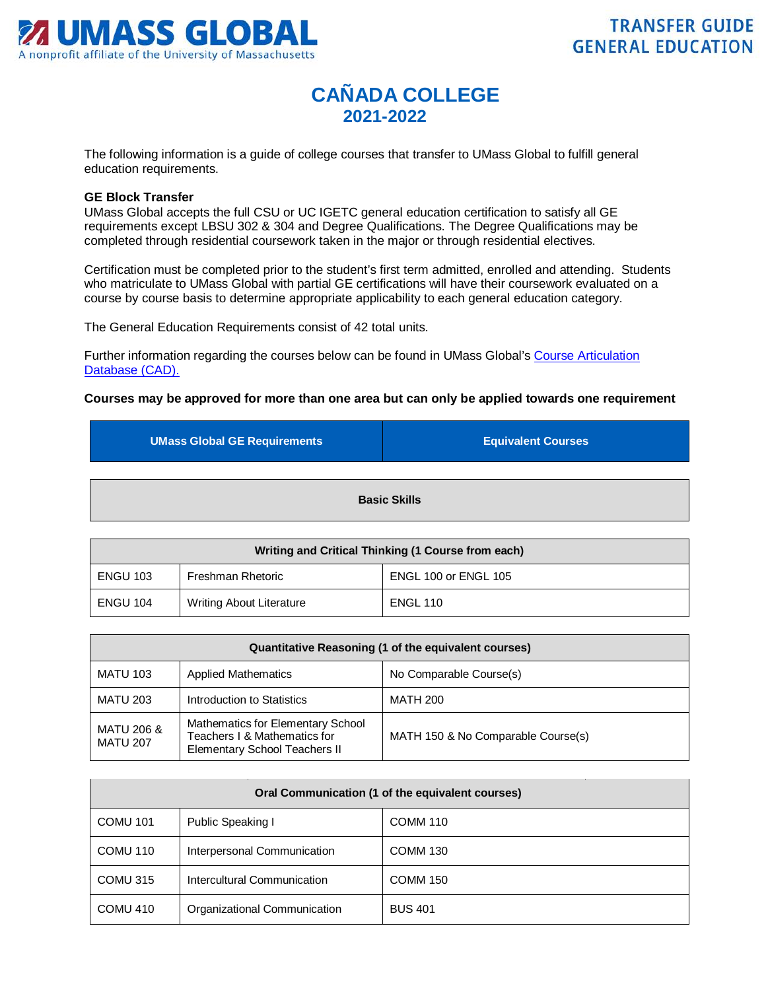

## **CAÑADA COLLEGE 2021-2022**

The following information is a guide of college courses that transfer to UMass Global to fulfill general education requirements.

## **GE Block Transfer**

UMass Global accepts the full CSU or UC IGETC general education certification to satisfy all GE requirements except LBSU 302 & 304 and Degree Qualifications. The Degree Qualifications may be completed through residential coursework taken in the major or through residential electives.

Certification must be completed prior to the student's first term admitted, enrolled and attending. Students who matriculate to UMass Global with partial GE certifications will have their coursework evaluated on a course by course basis to determine appropriate applicability to each general education category.

The General Education Requirements consist of 42 total units.

Further information regarding the courses below can be found in UMass Global's [Course Articulation](http://services.umassglobal.edu/studentservices/TransferCredit/)  Database (CAD).

## **Courses may be approved for more than one area but can only be applied towards one requirement**

| <b>UMass Global GE Requirements</b> | <b>Equivalent Courses</b> |
|-------------------------------------|---------------------------|
|                                     |                           |
| <b>Basic Skills</b>                 |                           |

| Writing and Critical Thinking (1 Course from each) |                                 |                      |
|----------------------------------------------------|---------------------------------|----------------------|
| <b>ENGU 103</b>                                    | Freshman Rhetoric               | ENGL 100 or ENGL 105 |
| <b>ENGU 104</b>                                    | <b>Writing About Literature</b> | <b>ENGL 110</b>      |

| Quantitative Reasoning (1 of the equivalent courses) |                                                                                                           |                                    |
|------------------------------------------------------|-----------------------------------------------------------------------------------------------------------|------------------------------------|
| <b>MATU 103</b>                                      | <b>Applied Mathematics</b>                                                                                | No Comparable Course(s)            |
| <b>MATU 203</b>                                      | Introduction to Statistics                                                                                | <b>MATH 200</b>                    |
| MATU 206 &<br><b>MATU 207</b>                        | Mathematics for Elementary School<br>Teachers I & Mathematics for<br><b>Elementary School Teachers II</b> | MATH 150 & No Comparable Course(s) |

| Oral Communication (1 of the equivalent courses) |                              |                 |
|--------------------------------------------------|------------------------------|-----------------|
| <b>COMU 101</b>                                  | Public Speaking I            | <b>COMM 110</b> |
| COMU 110                                         | Interpersonal Communication  | <b>COMM 130</b> |
| COMU 315                                         | Intercultural Communication  | <b>COMM 150</b> |
| COMU 410                                         | Organizational Communication | <b>BUS 401</b>  |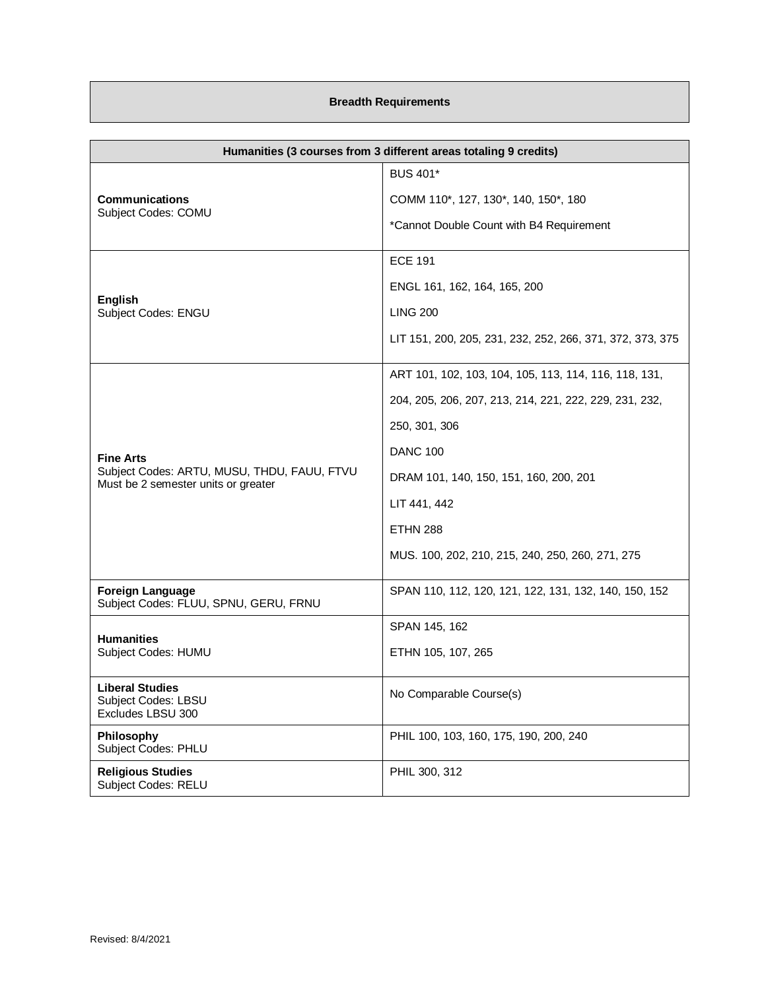## **Breadth Requirements**

| Humanities (3 courses from 3 different areas totaling 9 credits)                   |                                                           |
|------------------------------------------------------------------------------------|-----------------------------------------------------------|
| <b>Communications</b><br>Subject Codes: COMU                                       | <b>BUS 401*</b>                                           |
|                                                                                    | COMM 110*, 127, 130*, 140, 150*, 180                      |
|                                                                                    | *Cannot Double Count with B4 Requirement                  |
|                                                                                    | <b>ECE 191</b>                                            |
|                                                                                    | ENGL 161, 162, 164, 165, 200                              |
| <b>English</b><br>Subject Codes: ENGU                                              | <b>LING 200</b>                                           |
|                                                                                    | LIT 151, 200, 205, 231, 232, 252, 266, 371, 372, 373, 375 |
|                                                                                    | ART 101, 102, 103, 104, 105, 113, 114, 116, 118, 131,     |
|                                                                                    | 204, 205, 206, 207, 213, 214, 221, 222, 229, 231, 232,    |
|                                                                                    | 250, 301, 306                                             |
| <b>Fine Arts</b>                                                                   | <b>DANC 100</b>                                           |
| Subject Codes: ARTU, MUSU, THDU, FAUU, FTVU<br>Must be 2 semester units or greater | DRAM 101, 140, 150, 151, 160, 200, 201                    |
|                                                                                    | LIT 441, 442                                              |
|                                                                                    | <b>ETHN 288</b>                                           |
|                                                                                    | MUS. 100, 202, 210, 215, 240, 250, 260, 271, 275          |
| <b>Foreign Language</b><br>Subject Codes: FLUU, SPNU, GERU, FRNU                   | SPAN 110, 112, 120, 121, 122, 131, 132, 140, 150, 152     |
| <b>Humanities</b><br>Subject Codes: HUMU                                           | SPAN 145, 162                                             |
|                                                                                    | ETHN 105, 107, 265                                        |
| <b>Liberal Studies</b><br>Subject Codes: LBSU<br>Excludes LBSU 300                 | No Comparable Course(s)                                   |
| Philosophy<br>Subject Codes: PHLU                                                  | PHIL 100, 103, 160, 175, 190, 200, 240                    |
| <b>Religious Studies</b><br><b>Subject Codes: RELU</b>                             | PHIL 300, 312                                             |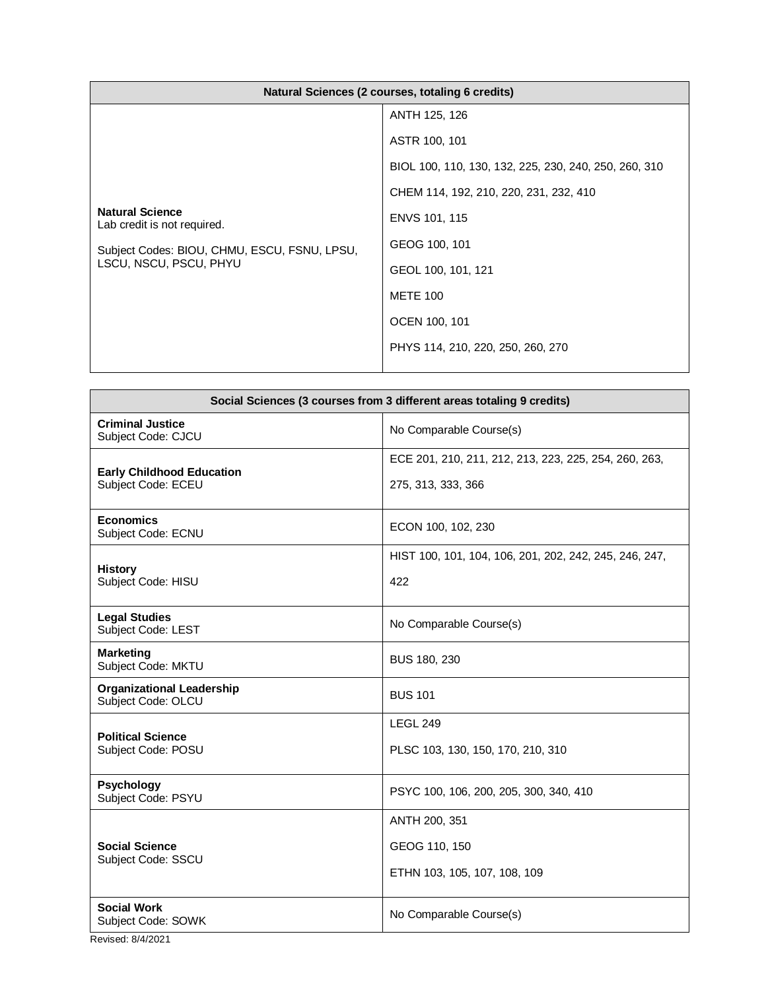| Natural Sciences (2 courses, totaling 6 credits)                                                                                |                                                       |
|---------------------------------------------------------------------------------------------------------------------------------|-------------------------------------------------------|
| <b>Natural Science</b><br>Lab credit is not required.<br>Subject Codes: BIOU, CHMU, ESCU, FSNU, LPSU,<br>LSCU, NSCU, PSCU, PHYU | ANTH 125, 126                                         |
|                                                                                                                                 | ASTR 100, 101                                         |
|                                                                                                                                 | BIOL 100, 110, 130, 132, 225, 230, 240, 250, 260, 310 |
|                                                                                                                                 | CHEM 114, 192, 210, 220, 231, 232, 410                |
|                                                                                                                                 | ENVS 101, 115                                         |
|                                                                                                                                 | GEOG 100, 101                                         |
|                                                                                                                                 | GEOL 100, 101, 121                                    |
|                                                                                                                                 | <b>METE 100</b>                                       |
|                                                                                                                                 | OCEN 100, 101                                         |
|                                                                                                                                 | PHYS 114, 210, 220, 250, 260, 270                     |
|                                                                                                                                 |                                                       |

| Social Sciences (3 courses from 3 different areas totaling 9 credits) |                                                                             |  |
|-----------------------------------------------------------------------|-----------------------------------------------------------------------------|--|
| <b>Criminal Justice</b><br>Subject Code: CJCU                         | No Comparable Course(s)                                                     |  |
| <b>Early Childhood Education</b><br>Subject Code: ECEU                | ECE 201, 210, 211, 212, 213, 223, 225, 254, 260, 263,<br>275, 313, 333, 366 |  |
| <b>Economics</b><br>Subject Code: ECNU                                | ECON 100, 102, 230                                                          |  |
| <b>History</b><br>Subject Code: HISU                                  | HIST 100, 101, 104, 106, 201, 202, 242, 245, 246, 247,<br>422               |  |
| <b>Legal Studies</b><br>Subject Code: LEST                            | No Comparable Course(s)                                                     |  |
| <b>Marketing</b><br>Subject Code: MKTU                                | BUS 180, 230                                                                |  |
| <b>Organizational Leadership</b><br>Subject Code: OLCU                | <b>BUS 101</b>                                                              |  |
| <b>Political Science</b><br>Subject Code: POSU                        | <b>LEGL 249</b><br>PLSC 103, 130, 150, 170, 210, 310                        |  |
| <b>Psychology</b><br>Subject Code: PSYU                               | PSYC 100, 106, 200, 205, 300, 340, 410                                      |  |
| <b>Social Science</b><br>Subject Code: SSCU                           | ANTH 200, 351<br>GEOG 110, 150                                              |  |
|                                                                       | ETHN 103, 105, 107, 108, 109                                                |  |
| <b>Social Work</b><br>Subject Code: SOWK                              | No Comparable Course(s)                                                     |  |

Revised: 8/4/2021